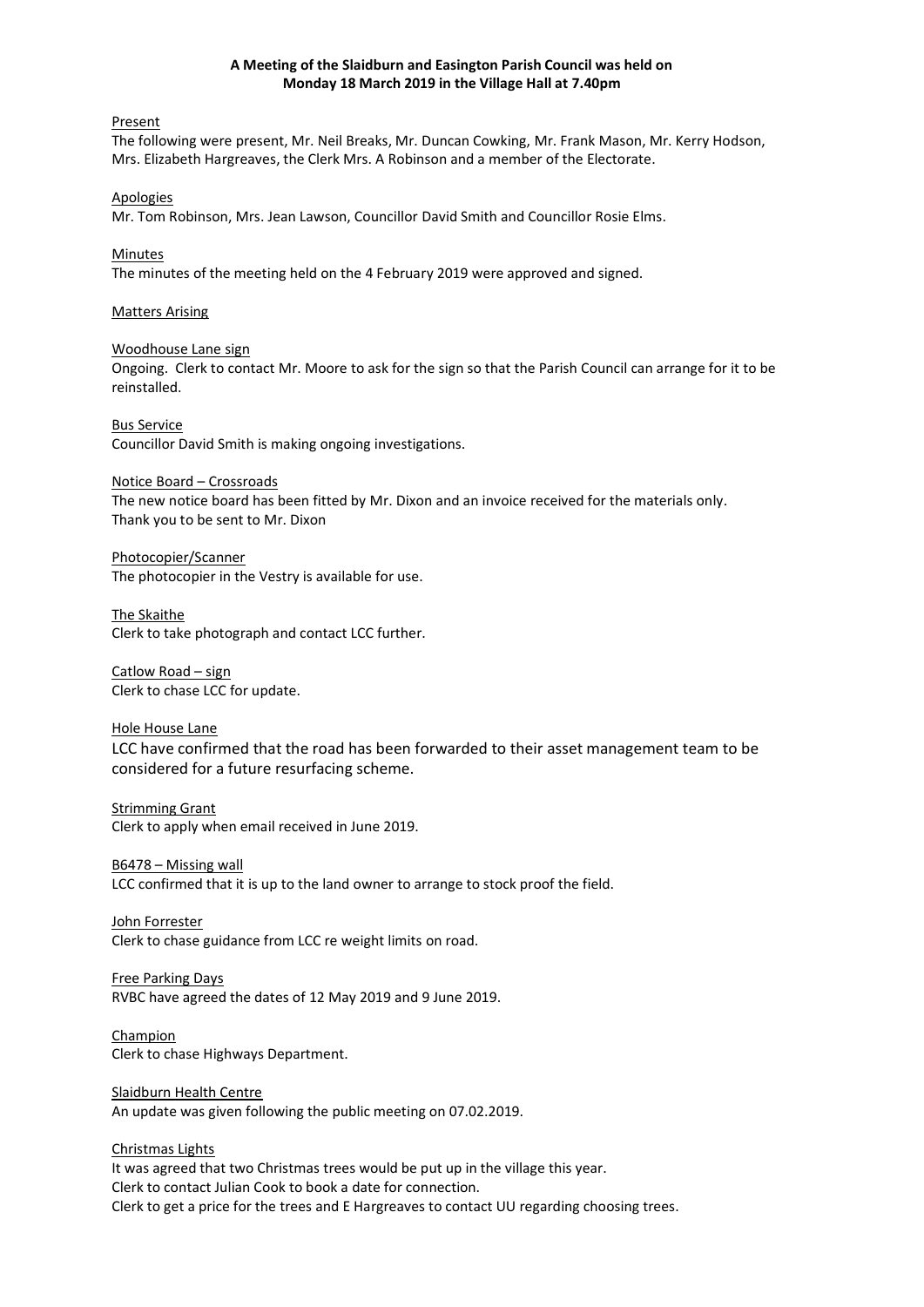## **A Meeting of the Slaidburn and Easington Parish Council was held on Monday 18 March 2019 in the Village Hall at 7.40pm**

Present

The following were present, Mr. Neil Breaks, Mr. Duncan Cowking, Mr. Frank Mason, Mr. Kerry Hodson, Mrs. Elizabeth Hargreaves, the Clerk Mrs. A Robinson and a member of the Electorate.

#### Apologies

Mr. Tom Robinson, Mrs. Jean Lawson, Councillor David Smith and Councillor Rosie Elms.

Minutes

The minutes of the meeting held on the 4 February 2019 were approved and signed.

## Matters Arising

#### Woodhouse Lane sign

Ongoing. Clerk to contact Mr. Moore to ask for the sign so that the Parish Council can arrange for it to be reinstalled.

Bus Service

Councillor David Smith is making ongoing investigations.

## Notice Board – Crossroads

The new notice board has been fitted by Mr. Dixon and an invoice received for the materials only. Thank you to be sent to Mr. Dixon

Photocopier/Scanner The photocopier in the Vestry is available for use.

The Skaithe Clerk to take photograph and contact LCC further.

Catlow Road – sign Clerk to chase LCC for update.

Hole House Lane LCC have confirmed that the road has been forwarded to their asset management team to be considered for a future resurfacing scheme.

Strimming Grant Clerk to apply when email received in June 2019.

B6478 – Missing wall LCC confirmed that it is up to the land owner to arrange to stock proof the field.

John Forrester Clerk to chase guidance from LCC re weight limits on road.

Free Parking Days RVBC have agreed the dates of 12 May 2019 and 9 June 2019.

Champion Clerk to chase Highways Department.

Slaidburn Health Centre An update was given following the public meeting on 07.02.2019.

# Christmas Lights

It was agreed that two Christmas trees would be put up in the village this year. Clerk to contact Julian Cook to book a date for connection. Clerk to get a price for the trees and E Hargreaves to contact UU regarding choosing trees.